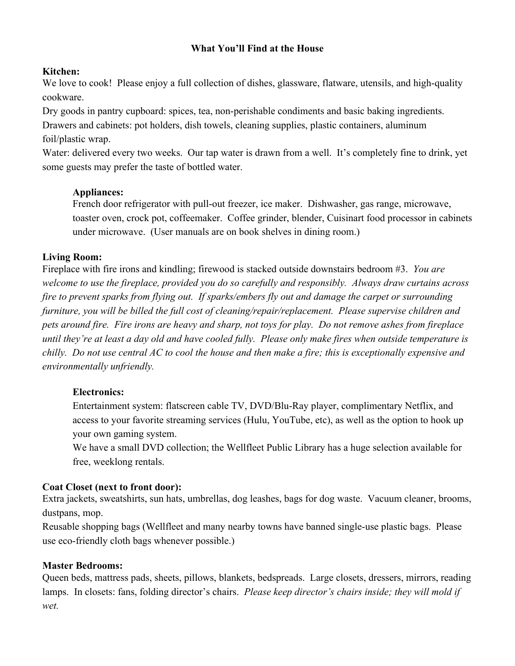### **What You'll Find at the House**

#### **Kitchen:**

We love to cook! Please enjoy a full collection of dishes, glassware, flatware, utensils, and high-quality cookware.

Dry goods in pantry cupboard: spices, tea, non-perishable condiments and basic baking ingredients.

Drawers and cabinets: pot holders, dish towels, cleaning supplies, plastic containers, aluminum foil/plastic wrap.

Water: delivered every two weeks. Our tap water is drawn from a well. It's completely fine to drink, yet some guests may prefer the taste of bottled water.

#### **Appliances:**

French door refrigerator with pull-out freezer, ice maker. Dishwasher, gas range, microwave, toaster oven, crock pot, coffeemaker. Coffee grinder, blender, Cuisinart food processor in cabinets under microwave. (User manuals are on book shelves in dining room.)

## **Living Room:**

Fireplace with fire irons and kindling; firewood is stacked outside downstairs bedroom #3. *You are welcome to use the fireplace, provided you do so carefully and responsibly. Always draw curtains across fire to prevent sparks from flying out. If sparks/embers fly out and damage the carpet or surrounding furniture, you will be billed the full cost of cleaning/repair/replacement. Please supervise children and pets around fire. Fire irons are heavy and sharp, not toys for play. Do not remove ashes from fireplace until they're at least a day old and have cooled fully. Please only make fires when outside temperature is chilly. Do not use central AC to cool the house and then make a fire; this is exceptionally expensive and environmentally unfriendly.*

# **Electronics:**

Entertainment system: flatscreen cable TV, DVD/Blu-Ray player, complimentary Netflix, and access to your favorite streaming services (Hulu, YouTube, etc), as well as the option to hook up your own gaming system.

We have a small DVD collection; the Wellfleet Public Library has a huge selection available for free, weeklong rentals.

#### **Coat Closet (next to front door):**

Extra jackets, sweatshirts, sun hats, umbrellas, dog leashes, bags for dog waste. Vacuum cleaner, brooms, dustpans, mop.

Reusable shopping bags (Wellfleet and many nearby towns have banned single-use plastic bags. Please use eco-friendly cloth bags whenever possible.)

#### **Master Bedrooms:**

Queen beds, mattress pads, sheets, pillows, blankets, bedspreads. Large closets, dressers, mirrors, reading lamps. In closets: fans, folding director's chairs. *Please keep director's chairs inside; they will mold if wet.*